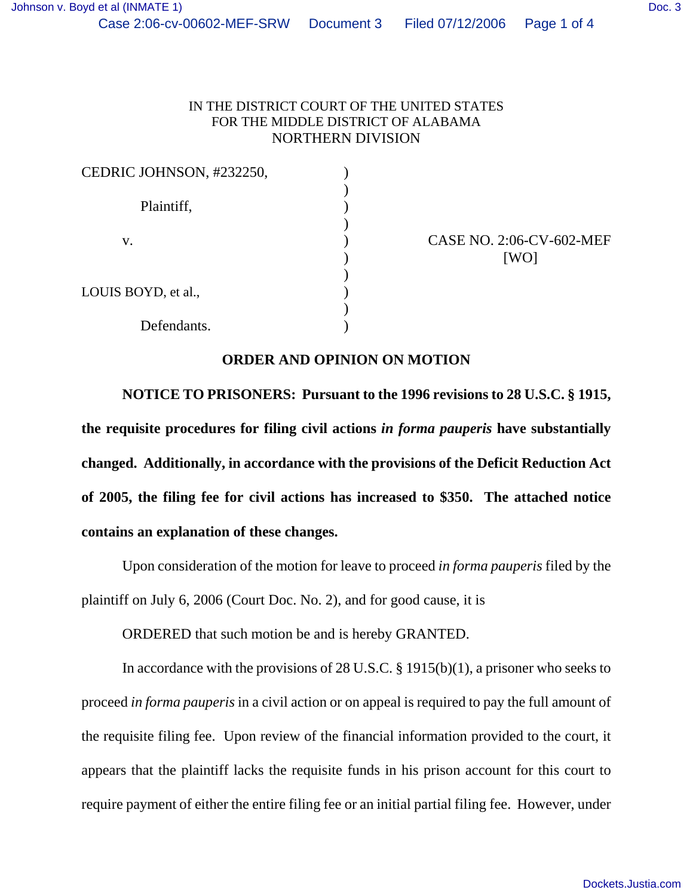## IN THE DISTRICT COURT OF THE UNITED STATES FOR THE MIDDLE DISTRICT OF ALABAMA NORTHERN DIVISION

| CEDRIC JOHNSON, #232250, |  |
|--------------------------|--|
| Plaintiff,               |  |
| V.                       |  |
|                          |  |
| LOUIS BOYD, et al.,      |  |
| Defendants.              |  |

CASE NO. 2:06-CV-602-MEF  $[WO]$ 

## **ORDER AND OPINION ON MOTION**

**NOTICE TO PRISONERS: Pursuant to the 1996 revisions to 28 U.S.C. § 1915, the requisite procedures for filing civil actions** *in forma pauperis* **have substantially changed. Additionally, in accordance with the provisions of the Deficit Reduction Act of 2005, the filing fee for civil actions has increased to \$350. The attached notice contains an explanation of these changes.**

Upon consideration of the motion for leave to proceed *in forma pauperis* filed by the plaintiff on July 6, 2006 (Court Doc. No. 2), and for good cause, it is

ORDERED that such motion be and is hereby GRANTED.

In accordance with the provisions of 28 U.S.C. § 1915(b)(1), a prisoner who seeks to proceed *in forma pauperis* in a civil action or on appeal is required to pay the full amount of the requisite filing fee. Upon review of the financial information provided to the court, it appears that the plaintiff lacks the requisite funds in his prison account for this court to require payment of either the entire filing fee or an initial partial filing fee. However, under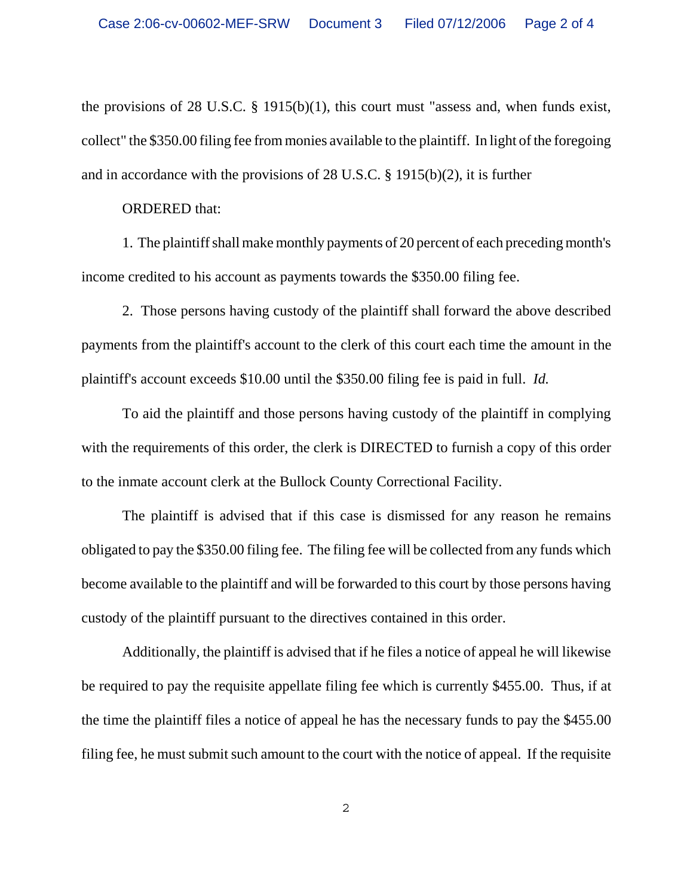the provisions of 28 U.S.C. § 1915(b)(1), this court must "assess and, when funds exist, collect" the \$350.00 filing fee from monies available to the plaintiff. In light of the foregoing and in accordance with the provisions of 28 U.S.C. § 1915(b)(2), it is further

## ORDERED that:

1. The plaintiff shall make monthly payments of 20 percent of each preceding month's income credited to his account as payments towards the \$350.00 filing fee.

2. Those persons having custody of the plaintiff shall forward the above described payments from the plaintiff's account to the clerk of this court each time the amount in the plaintiff's account exceeds \$10.00 until the \$350.00 filing fee is paid in full. *Id.* 

To aid the plaintiff and those persons having custody of the plaintiff in complying with the requirements of this order, the clerk is DIRECTED to furnish a copy of this order to the inmate account clerk at the Bullock County Correctional Facility.

The plaintiff is advised that if this case is dismissed for any reason he remains obligated to pay the \$350.00 filing fee. The filing fee will be collected from any funds which become available to the plaintiff and will be forwarded to this court by those persons having custody of the plaintiff pursuant to the directives contained in this order.

Additionally, the plaintiff is advised that if he files a notice of appeal he will likewise be required to pay the requisite appellate filing fee which is currently \$455.00. Thus, if at the time the plaintiff files a notice of appeal he has the necessary funds to pay the \$455.00 filing fee, he must submit such amount to the court with the notice of appeal. If the requisite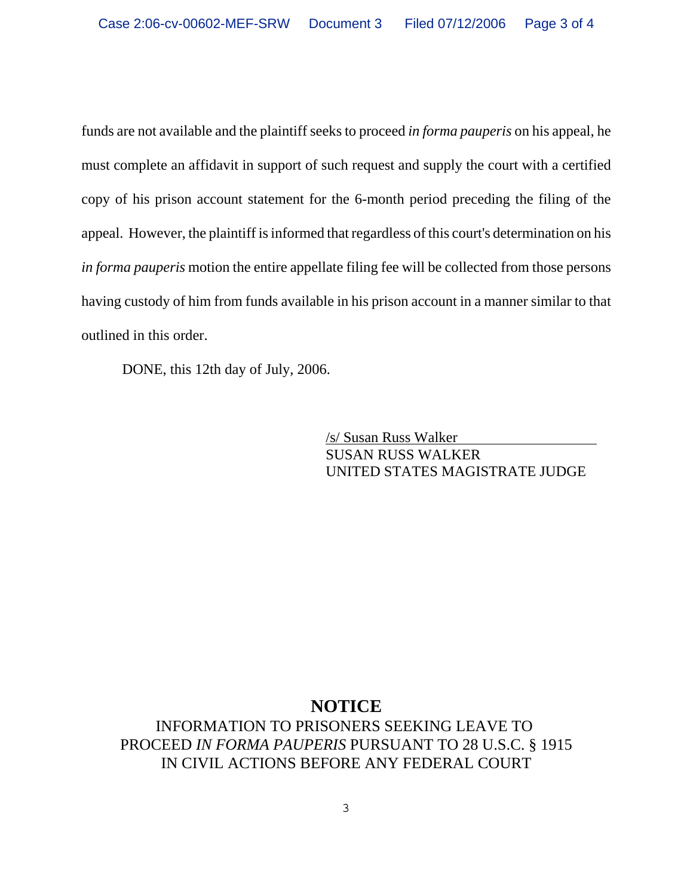funds are not available and the plaintiff seeks to proceed *in forma pauperis* on his appeal, he must complete an affidavit in support of such request and supply the court with a certified copy of his prison account statement for the 6-month period preceding the filing of the appeal. However, the plaintiff is informed that regardless of this court's determination on his *in forma pauperis* motion the entire appellate filing fee will be collected from those persons having custody of him from funds available in his prison account in a manner similar to that outlined in this order.

DONE, this 12th day of July, 2006.

/s/ Susan Russ Walker SUSAN RUSS WALKER UNITED STATES MAGISTRATE JUDGE

## **NOTICE**

INFORMATION TO PRISONERS SEEKING LEAVE TO PROCEED *IN FORMA PAUPERIS* PURSUANT TO 28 U.S.C. § 1915 IN CIVIL ACTIONS BEFORE ANY FEDERAL COURT